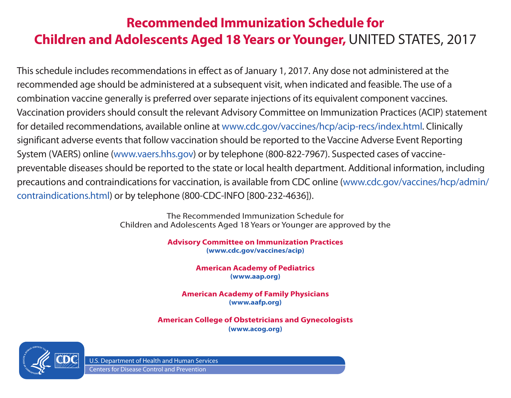# **Recommended Immunization Schedule for Children and Adolescents Aged 18 Years or Younger,** UNITED STATES, 2017

This schedule includes recommendations in effect as of January 1, 2017. Any dose not administered at the recommended age should be administered at a subsequent visit, when indicated and feasible. The use of a combination vaccine generally is preferred over separate injections of its equivalent component vaccines. Vaccination providers should consult the relevant Advisory Committee on Immunization Practices (ACIP) statement for detailed recommendations, available online at www.cdc.gov/vaccines/hcp/acip-recs/index.html. Clinically significant adverse events that follow vaccination should be reported to the Vaccine Adverse Event Reporting System (VAERS) online (www.vaers.hhs.gov) or by telephone (800-822-7967). Suspected cases of vaccinepreventable diseases should be reported to the state or local health department. Additional information, including precautions and contraindications for vaccination, is available from CDC online (www.cdc.gov/vaccines/hcp/admin/ contraindications.html) or by telephone (800-CDC-INFO [800-232-4636]).

> The Recommended Immunization Schedule for Children and Adolescents Aged 18 Years or Younger are approved by the

> > **Advisory Committee on Immunization Practices (www.cdc.gov/vaccines/acip)**

> > > **American Academy of Pediatrics (www.aap.org)**

**American Academy of Family Physicians (www.aafp.org)**

**American College of Obstetricians and Gynecologists (www.acog.org)**



U.S. Department of Health and Human Services Centers for Disease Control and Prevention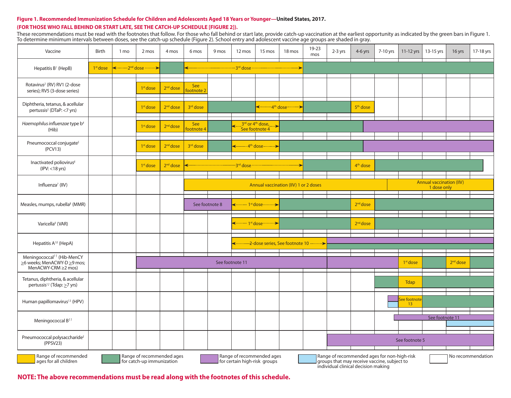### **Figure 1. Recommended Immunization Schedule for Children and Adolescents Aged 18 Years or Younger—United States, 2017.**

### **(FOR THOSE WHO FALL BEHIND OR START LATE, SEE THE CATCH-UP SCHEDULE [FIGURE 2]).**

These recommendations must be read with the footnotes that follow. For those who fall behind or start late, provide catch-up vaccination at the earliest opportunity as indicated by the green bars in Figure 1. To determine minimum intervals between doses, see the catch-up schedule (Figure 2). School entry and adolescent vaccine age groups are shaded in gray.

| Vaccine                                                                                                                                                                                                                                                                                                                        | Birth      | 1 mo | 2 mos                                           | 4 mos                | 6 mos             | 9 mos          | 12 mos                                                                                                  | 15 mos                                                                   | 18 mos        | 19-23<br>mos | $2-3$ yrs | $4-6$ yrs            | 7-10 yrs | $11-12$ yrs          | 13-15 yrs                                      | 16 yrs               | 17-18 yrs |
|--------------------------------------------------------------------------------------------------------------------------------------------------------------------------------------------------------------------------------------------------------------------------------------------------------------------------------|------------|------|-------------------------------------------------|----------------------|-------------------|----------------|---------------------------------------------------------------------------------------------------------|--------------------------------------------------------------------------|---------------|--------------|-----------|----------------------|----------|----------------------|------------------------------------------------|----------------------|-----------|
| Hepatitis B <sup>1</sup> (HepB)                                                                                                                                                                                                                                                                                                | $1st$ dose |      | <b>← ··········2<sup>nd</sup> dose ········</b> |                      |                   |                | <b>&lt;-----------------------------------3<sup>rd</sup> dose ---------------------------------&gt;</b> |                                                                          |               |              |           |                      |          |                      |                                                |                      |           |
| Rotavirus <sup>2</sup> (RV) RV1 (2-dose<br>series); RV5 (3-dose series)                                                                                                                                                                                                                                                        |            |      | 1 <sup>st</sup> dose                            | $2nd$ dose           | See<br>ootnote 2  |                |                                                                                                         |                                                                          |               |              |           |                      |          |                      |                                                |                      |           |
| Diphtheria, tetanus, & acellular<br>pertussis <sup>3</sup> (DTaP: <7 yrs)                                                                                                                                                                                                                                                      |            |      | 1 <sup>st</sup> dose                            | 2 <sup>nd</sup> dose | 3rd dose          |                |                                                                                                         |                                                                          |               |              |           | 5 <sup>th</sup> dose |          |                      |                                                |                      |           |
| Haemophilus influenzae type b <sup>4</sup><br>(Hib)                                                                                                                                                                                                                                                                            |            |      | 1 <sup>st</sup> dose                            | 2 <sup>nd</sup> dose | See<br>footnote 4 |                |                                                                                                         | $3^{\text{rd}}$ or 4 <sup>th</sup> dose, $\rightarrow$<br>See footnote 4 |               |              |           |                      |          |                      |                                                |                      |           |
| Pneumococcal conjugate <sup>5</sup><br>(PCV13)                                                                                                                                                                                                                                                                                 |            |      | 1 <sup>st</sup> dose                            | 2 <sup>nd</sup> dose | 3rd dose          |                |                                                                                                         | $\longleftarrow$ 4 <sup>th</sup> dose                                    |               |              |           |                      |          |                      |                                                |                      |           |
| Inactivated poliovirus <sup>6</sup><br>$(IPV: < 18$ yrs)                                                                                                                                                                                                                                                                       |            |      | 1 <sup>st</sup> dose                            | 2 <sup>nd</sup> dose |                   |                | --3 <sup>rd</sup> dose-                                                                                 |                                                                          | $\rightarrow$ |              |           | 4 <sup>th</sup> dose |          |                      |                                                |                      |           |
| Influenza <sup>7</sup> (IIV)                                                                                                                                                                                                                                                                                                   |            |      |                                                 |                      |                   |                |                                                                                                         | Annual vaccination (IIV) 1 or 2 doses                                    |               |              |           |                      |          |                      | <b>Annual vaccination (IIV)</b><br>1 dose only |                      |           |
| Measles, mumps, rubella <sup>8</sup> (MMR)                                                                                                                                                                                                                                                                                     |            |      |                                                 |                      |                   | See footnote 8 |                                                                                                         | ------- 1 <sup>st</sup> dose--------->                                   |               |              |           | $2nd$ dose           |          |                      |                                                |                      |           |
| Varicella <sup>9</sup> (VAR)                                                                                                                                                                                                                                                                                                   |            |      |                                                 |                      |                   |                |                                                                                                         | ------ 1 <sup>st</sup> dose--------- <del>&gt;</del>                     |               |              |           | $2nd$ dose           |          |                      |                                                |                      |           |
| Hepatitis A <sup>10</sup> (HepA)                                                                                                                                                                                                                                                                                               |            |      |                                                 |                      |                   |                |                                                                                                         | <-----------2-dose series, See footnote 10                               |               | --------->   |           |                      |          |                      |                                                |                      |           |
| Meningococcal <sup>11</sup> (Hib-MenCY<br>≥6 weeks; MenACWY-D ≥9 mos;<br>MenACWY-CRM ≥2 mos)                                                                                                                                                                                                                                   |            |      |                                                 |                      |                   |                | See footnote 11                                                                                         |                                                                          |               |              |           |                      |          | 1 <sup>st</sup> dose |                                                | 2 <sup>nd</sup> dose |           |
| Tetanus, diphtheria, & acellular<br>pertussis <sup>12</sup> (Tdap: $\geq$ 7 yrs)                                                                                                                                                                                                                                               |            |      |                                                 |                      |                   |                |                                                                                                         |                                                                          |               |              |           |                      |          | <b>Tdap</b>          |                                                |                      |           |
| Human papillomavirus <sup>13</sup> (HPV)                                                                                                                                                                                                                                                                                       |            |      |                                                 |                      |                   |                |                                                                                                         |                                                                          |               |              |           |                      |          |                      |                                                |                      |           |
| Meningococcal B <sup>11</sup>                                                                                                                                                                                                                                                                                                  |            |      |                                                 |                      |                   |                |                                                                                                         |                                                                          |               |              |           |                      |          |                      | See footnote 11                                |                      |           |
| Pneumococcal polysaccharide <sup>5</sup><br>(PPSV23)                                                                                                                                                                                                                                                                           |            |      |                                                 |                      |                   |                |                                                                                                         |                                                                          |               |              |           |                      |          | See footnote 5       |                                                |                      |           |
| Range of recommended<br>Range of recommended ages<br>Range of recommended ages<br>Range of recommended ages for non-high-risk<br>No recommendation<br>groups that may receive vaccine, subject to<br>ages for all children<br>for catch-up immunization<br>for certain high-risk groups<br>individual clinical decision making |            |      |                                                 |                      |                   |                |                                                                                                         |                                                                          |               |              |           |                      |          |                      |                                                |                      |           |

**NOTE: The above recommendations must be read along with the footnotes of this schedule.**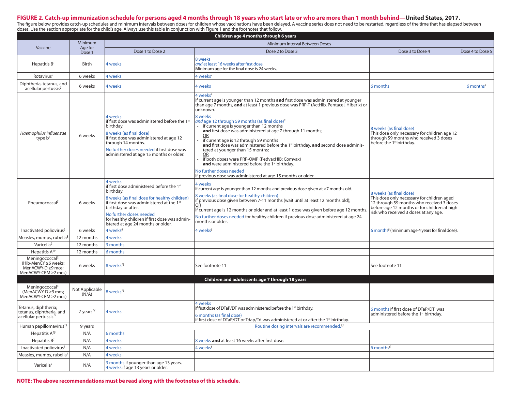### **FIGURE 2. Catch-up immunization schedule for persons aged 4 months through 18 years who start late or who are more than 1 month behind—United States, 2017.**

The figure below provides catch-up schedules and minimum intervals between doses for children whose vaccinations have been delayed. A vaccine series does not need to be restarted, regardless of the time that has elapsed be doses. Use the section appropriate for the child's age. Always use this table in conjunction with Figure 1 and the footnotes that follow.

| Children age 4 months through 6 years                                    |                         |                                                                                                                                                                                                                                                                  |                                                                                                                                                                                                                                                                                                                                                                                                                                                                                                                                                                                                                                                                                                                                                                                                    |                                                                                                                                                                                                             |                         |  |  |  |  |  |  |
|--------------------------------------------------------------------------|-------------------------|------------------------------------------------------------------------------------------------------------------------------------------------------------------------------------------------------------------------------------------------------------------|----------------------------------------------------------------------------------------------------------------------------------------------------------------------------------------------------------------------------------------------------------------------------------------------------------------------------------------------------------------------------------------------------------------------------------------------------------------------------------------------------------------------------------------------------------------------------------------------------------------------------------------------------------------------------------------------------------------------------------------------------------------------------------------------------|-------------------------------------------------------------------------------------------------------------------------------------------------------------------------------------------------------------|-------------------------|--|--|--|--|--|--|
|                                                                          | Minimum                 | Minimum Interval Between Doses                                                                                                                                                                                                                                   |                                                                                                                                                                                                                                                                                                                                                                                                                                                                                                                                                                                                                                                                                                                                                                                                    |                                                                                                                                                                                                             |                         |  |  |  |  |  |  |
| Vaccine                                                                  | Age for<br>Dose 1       | Dose 1 to Dose 2                                                                                                                                                                                                                                                 | Dose 2 to Dose 3                                                                                                                                                                                                                                                                                                                                                                                                                                                                                                                                                                                                                                                                                                                                                                                   | Dose 3 to Dose 4                                                                                                                                                                                            | Dose 4 to Dose 5        |  |  |  |  |  |  |
| Hepatitis $B^1$                                                          | Birth                   | 4 weeks                                                                                                                                                                                                                                                          | 8 weeks<br>and at least 16 weeks after first dose.<br>Minimum age for the final dose is 24 weeks.                                                                                                                                                                                                                                                                                                                                                                                                                                                                                                                                                                                                                                                                                                  |                                                                                                                                                                                                             |                         |  |  |  |  |  |  |
| Rotavirus <sup>2</sup>                                                   | 6 weeks                 | 4 weeks                                                                                                                                                                                                                                                          | 4 weeks <sup>2</sup>                                                                                                                                                                                                                                                                                                                                                                                                                                                                                                                                                                                                                                                                                                                                                                               |                                                                                                                                                                                                             |                         |  |  |  |  |  |  |
| Diphtheria, tetanus, and<br>$acellular$ pertussis <sup>3</sup>           | 6 weeks                 | 4 weeks                                                                                                                                                                                                                                                          | 4 weeks                                                                                                                                                                                                                                                                                                                                                                                                                                                                                                                                                                                                                                                                                                                                                                                            | 6 months                                                                                                                                                                                                    | $6$ months <sup>3</sup> |  |  |  |  |  |  |
| Haemophilus influenzae<br>type $b^4$                                     | 6 weeks                 | 4 weeks<br>if first dose was administered before the 1st<br>birthday.<br>8 weeks (as final dose)<br>if first dose was administered at age 12<br>through 14 months.<br>No further doses needed if first dose was<br>administered at age 15 months or older.       | 4 weeks <sup>4</sup><br>if current age is younger than 12 months <b>and</b> first dose was administered at younger<br>than age 7 months, and at least 1 previous dose was PRP-T (ActHib, Pentacel, Hiberix) or<br>unknown.<br>8 weeks<br>and age 12 through 59 months (as final dose) <sup>4</sup><br>if current age is younger than 12 months<br>and first dose was administered at age 7 through 11 months;<br><b>OR</b><br>if current age is 12 through 59 months<br>and first dose was administered before the 1st birthday, and second dose adminis-<br>tered at younger than 15 months;<br>OR<br>if both doses were PRP-OMP (PedvaxHIB; Comvax)<br>and were administered before the 1st birthday.<br>No further doses needed<br>if previous dose was administered at age 15 months or older. | 8 weeks (as final dose)<br>This dose only necessary for children age 12<br>through 59 months who received 3 doses<br>before the 1 <sup>st</sup> birthday.                                                   |                         |  |  |  |  |  |  |
| Pneumococcal <sup>5</sup>                                                | 6 weeks                 | 4 weeks<br>if first dose administered before the 1st<br>birthday.<br>8 weeks (as final dose for healthy children)<br>if first dose was administered at the 1st<br>birthday or after.<br>No further doses needed<br>for healthy children if first dose was admin- | 4 weeks<br>if current age is younger than 12 months and previous dose given at <7 months old.<br>8 weeks (as final dose for healthy children)<br>if previous dose given between 7-11 months (wait until at least 12 months old);<br>OR<br>if current age is 12 months or older and at least 1 dose was given before age 12 months.<br>No further doses needed for healthy children if previous dose administered at age 24<br>months or older.                                                                                                                                                                                                                                                                                                                                                     | 8 weeks (as final dose)<br>This dose only necessary for children aged<br>12 through 59 months who received 3 doses<br>before age 12 months or for children at high<br>risk who received 3 doses at any age. |                         |  |  |  |  |  |  |
| Inactivated poliovirus <sup>6</sup>                                      | 6 weeks                 | istered at age 24 months or older.<br>4 weeks <sup>6</sup>                                                                                                                                                                                                       | 4 weeks <sup>6</sup>                                                                                                                                                                                                                                                                                                                                                                                                                                                                                                                                                                                                                                                                                                                                                                               | 6 months <sup>6</sup> (minimum age 4 years for final dose).                                                                                                                                                 |                         |  |  |  |  |  |  |
|                                                                          |                         |                                                                                                                                                                                                                                                                  |                                                                                                                                                                                                                                                                                                                                                                                                                                                                                                                                                                                                                                                                                                                                                                                                    |                                                                                                                                                                                                             |                         |  |  |  |  |  |  |
| Measles, mumps, rubella $8$                                              | 12 months               | 4 weeks                                                                                                                                                                                                                                                          |                                                                                                                                                                                                                                                                                                                                                                                                                                                                                                                                                                                                                                                                                                                                                                                                    |                                                                                                                                                                                                             |                         |  |  |  |  |  |  |
| Varicella <sup>9</sup>                                                   | 12 months               | 3 months                                                                                                                                                                                                                                                         |                                                                                                                                                                                                                                                                                                                                                                                                                                                                                                                                                                                                                                                                                                                                                                                                    |                                                                                                                                                                                                             |                         |  |  |  |  |  |  |
| Hepatitis $A^{10}$<br>Meningococcal <sup>11</sup>                        | 12 months               | 6 months                                                                                                                                                                                                                                                         |                                                                                                                                                                                                                                                                                                                                                                                                                                                                                                                                                                                                                                                                                                                                                                                                    |                                                                                                                                                                                                             |                         |  |  |  |  |  |  |
| (Hib-MenCY ≥6 weeks;<br>MenACWY-D ≥9 mos;<br>MenACWY-CRM ≥2 mos)         | 6 weeks                 | 8 weeks <sup>11</sup>                                                                                                                                                                                                                                            | See footnote 11                                                                                                                                                                                                                                                                                                                                                                                                                                                                                                                                                                                                                                                                                                                                                                                    | See footnote 11                                                                                                                                                                                             |                         |  |  |  |  |  |  |
|                                                                          |                         |                                                                                                                                                                                                                                                                  | Children and adolescents age 7 through 18 years                                                                                                                                                                                                                                                                                                                                                                                                                                                                                                                                                                                                                                                                                                                                                    |                                                                                                                                                                                                             |                         |  |  |  |  |  |  |
| Meningococcal <sup>11</sup><br>(MenACWY-D ≥9 mos;<br>MenACWY-CRM ≥2 mos) | Not Applicable<br>(N/A) | 8 weeks <sup>11</sup>                                                                                                                                                                                                                                            |                                                                                                                                                                                                                                                                                                                                                                                                                                                                                                                                                                                                                                                                                                                                                                                                    |                                                                                                                                                                                                             |                         |  |  |  |  |  |  |
| Tetanus, diphtheria;<br>tetanus, diphtheria, and<br>acellular pertussis  | 7 years $^{12}$         | 4 weeks                                                                                                                                                                                                                                                          | 4 weeks<br>if first dose of DTaP/DT was administered before the 1 <sup>st</sup> birthday.<br>6 months (as final dose)<br>if first dose of DTaP/DT or Tdap/Td was administered at or after the 1 <sup>st</sup> birthday.                                                                                                                                                                                                                                                                                                                                                                                                                                                                                                                                                                            | 6 months if first dose of DTaP/DT was<br>administered before the 1 <sup>st</sup> birthday.                                                                                                                  |                         |  |  |  |  |  |  |
| Human papillomavirus <sup>13</sup>                                       | 9 years                 |                                                                                                                                                                                                                                                                  | Routine dosing intervals are recommended. <sup>13</sup>                                                                                                                                                                                                                                                                                                                                                                                                                                                                                                                                                                                                                                                                                                                                            |                                                                                                                                                                                                             |                         |  |  |  |  |  |  |
| Hepatitis A <sup>10</sup>                                                | N/A                     | 6 months                                                                                                                                                                                                                                                         |                                                                                                                                                                                                                                                                                                                                                                                                                                                                                                                                                                                                                                                                                                                                                                                                    |                                                                                                                                                                                                             |                         |  |  |  |  |  |  |
| Hepatitis $B^1$                                                          | N/A                     | 4 weeks                                                                                                                                                                                                                                                          | 8 weeks and at least 16 weeks after first dose.                                                                                                                                                                                                                                                                                                                                                                                                                                                                                                                                                                                                                                                                                                                                                    |                                                                                                                                                                                                             |                         |  |  |  |  |  |  |
| Inactivated poliovirus <sup>6</sup>                                      | N/A                     | 4 weeks                                                                                                                                                                                                                                                          | 4 weeks <sup>6</sup>                                                                                                                                                                                                                                                                                                                                                                                                                                                                                                                                                                                                                                                                                                                                                                               | 6 months $6$                                                                                                                                                                                                |                         |  |  |  |  |  |  |
| Measles, mumps, rubella <sup>8</sup>                                     | N/A                     | 4 weeks                                                                                                                                                                                                                                                          |                                                                                                                                                                                                                                                                                                                                                                                                                                                                                                                                                                                                                                                                                                                                                                                                    |                                                                                                                                                                                                             |                         |  |  |  |  |  |  |
| Varicella <sup>9</sup>                                                   | N/A                     | 3 months if younger than age 13 years.<br>4 weeks if age 13 years or older.                                                                                                                                                                                      |                                                                                                                                                                                                                                                                                                                                                                                                                                                                                                                                                                                                                                                                                                                                                                                                    |                                                                                                                                                                                                             |                         |  |  |  |  |  |  |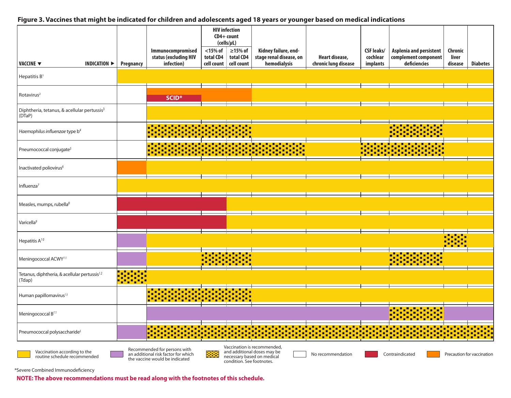### **Figure 3. Vaccines that might be indicated for children and adolescents aged 18 years or younger based on medical indications**

|                                                                    |                                  |                     |                                                                                                       | <b>HIV</b> infection<br>CD4+ count |                                                                                                                     |                                                                                          |                                        |                                           |                                                                        |                             |                                         |
|--------------------------------------------------------------------|----------------------------------|---------------------|-------------------------------------------------------------------------------------------------------|------------------------------------|---------------------------------------------------------------------------------------------------------------------|------------------------------------------------------------------------------------------|----------------------------------------|-------------------------------------------|------------------------------------------------------------------------|-----------------------------|-----------------------------------------|
| VACCINE ▼                                                          | INDICATION $\blacktriangleright$ | Pregnancy           | Immunocompromised<br>status (excluding HIV<br>infection)                                              | $<$ 15% of $\pm$<br>total CD4      | $(cells/\mu L)$<br>$\geq$ 15% of<br>total CD4<br>cell count cell count                                              | Kidney failure, end-<br>stage renal disease, on<br>hemodialysis                          | Heart disease,<br>chronic lung disease | <b>CSF leaks/</b><br>cochlear<br>implants | <b>Asplenia and persistent</b><br>complement component<br>deficiencies | Chronic<br>liver<br>disease | <b>Diabetes</b>                         |
| Hepatitis B <sup>1</sup>                                           |                                  |                     |                                                                                                       |                                    |                                                                                                                     |                                                                                          |                                        |                                           |                                                                        |                             |                                         |
| Rotavirus <sup>2</sup>                                             |                                  |                     | SCID <sup>*</sup>                                                                                     |                                    |                                                                                                                     |                                                                                          |                                        |                                           |                                                                        |                             |                                         |
| Diphtheria, tetanus, & acellular pertussis <sup>3</sup><br>(DTaP)  |                                  |                     |                                                                                                       |                                    |                                                                                                                     |                                                                                          |                                        |                                           |                                                                        |                             |                                         |
| Haemophilus influenzae type b <sup>4</sup>                         |                                  |                     | – □                                                                                                   | ĻП,                                | -, 0<br>$\overline{\phantom{a}}$ , $\overline{\phantom{a}}$ , $\overline{\phantom{a}}$ , $\overline{\phantom{a}}$ , |                                                                                          |                                        |                                           | :1:1:1:                                                                |                             |                                         |
| Pneumococcal conjugate <sup>5</sup>                                |                                  |                     |                                                                                                       |                                    |                                                                                                                     |                                                                                          |                                        |                                           | alaisia laivistoilija<br>1939 – Liudel Laivistoilija                   |                             |                                         |
| Inactivated poliovirus <sup>6</sup>                                |                                  |                     |                                                                                                       |                                    |                                                                                                                     |                                                                                          |                                        |                                           |                                                                        |                             |                                         |
| Influenza $7$                                                      |                                  |                     |                                                                                                       |                                    |                                                                                                                     |                                                                                          |                                        |                                           |                                                                        |                             |                                         |
| Measles, mumps, rubella $8$                                        |                                  |                     |                                                                                                       |                                    |                                                                                                                     |                                                                                          |                                        |                                           |                                                                        |                             |                                         |
| Varicella <sup>9</sup>                                             |                                  |                     |                                                                                                       |                                    |                                                                                                                     |                                                                                          |                                        |                                           |                                                                        |                             |                                         |
| Hepatitis A <sup>10</sup>                                          |                                  |                     |                                                                                                       |                                    |                                                                                                                     |                                                                                          |                                        |                                           |                                                                        |                             |                                         |
| Meningococcal ACWY <sup>11</sup>                                   |                                  |                     |                                                                                                       |                                    | 3.3.1.3.3.3.<br>1910: 1910: 1910                                                                                    |                                                                                          |                                        |                                           | :-:-:-:-<br>::::                                                       |                             |                                         |
| Tetanus, diphtheria, & acellular pertussis <sup>12</sup><br>(Tdap) |                                  | alistici<br>1929–19 |                                                                                                       |                                    |                                                                                                                     |                                                                                          |                                        |                                           |                                                                        |                             |                                         |
| Human papillomavirus <sup>13</sup>                                 |                                  |                     |                                                                                                       |                                    |                                                                                                                     |                                                                                          |                                        |                                           |                                                                        |                             |                                         |
| Meningococcal B <sup>11</sup>                                      |                                  |                     |                                                                                                       |                                    |                                                                                                                     |                                                                                          |                                        |                                           | <u>.</u>                                                               |                             |                                         |
| Pneumococcal polysaccharide <sup>5</sup>                           |                                  |                     | <u> 2020202020202</u><br>п                                                                            |                                    |                                                                                                                     | $\bullet$<br>┌╹<br>. L.<br>Ē                                                             | n"<br>╍<br>π                           |                                           | $\bullet$<br>.                                                         | <u>,,,,,,,,,</u> ,          | $\bullet$ , $\bullet$ .<br><u> 1111</u> |
| Vaccination according to the<br>routine schedule recommended       |                                  |                     | Recommended for persons with<br>an additional risk factor for which<br>the vaccine would be indicated | <u> Beest</u>                      | condition. See footnotes.                                                                                           | Vaccination is recommended,<br>and additional doses may be<br>necessary based on medical | No recommendation                      |                                           | Contraindicated                                                        |                             | Precaution for vaccination              |

\*Severe Combined Immunodeficiency

**NOTE: The above recommendations must be read along with the footnotes of this schedule.**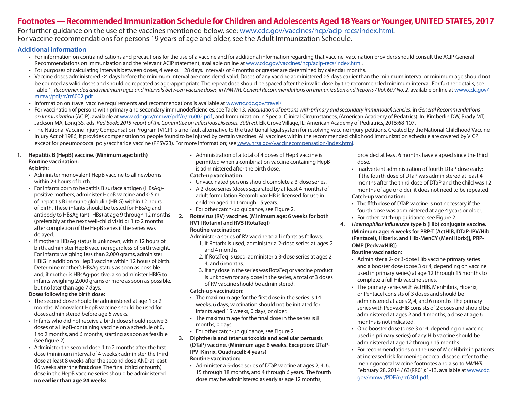## **Footnotes — Recommended Immunization Schedule for Children and Adolescents Aged 18 Years or Younger, UNITED STATES, 2017**

For further guidance on the use of the vaccines mentioned below, see: www.cdc.gov/vaccines/hcp/acip-recs/index.html. For vaccine recommendations for persons 19 years of age and older, see the Adult Immunization Schedule.

### **Additional information**

- For information on contraindications and precautions for the use of a vaccine and for additional information regarding that vaccine, vaccination providers should consult the ACIP General Recommendations on Immunization and the relevant ACIP statement, available online at www.cdc.gov/vaccines/hcp/acip-recs/index.html.
- For purposes of calculating intervals between doses, 4 weeks = 28 days. Intervals of 4 months or greater are determined by calendar months.
- Vaccine doses administered ≤4 days before the minimum interval are considered valid. Doses of any vaccine administered ≥5 days earlier than the minimum interval or minimum age should not be counted as valid doses and should be repeated as age-appropriate. The repeat dose should be spaced after the invalid dose by the recommended minimum interval. For further details, see Table 1, *Recommended and minimum ages and intervals between vaccine doses, in MMWR, General Recommendations on Immunization and Reports / Vol. 60 / No. 2,* available online at www.cdc.gov/ mmwr/pdf/rr/rr6002.pdf.
- Information on travel vaccine requirements and recommendations is available at wwwnc.cdc.gov/travel/.
- For vaccination of persons with primary and secondary immunodeficiencies, see Table 13, *Vaccination of persons with primary and secondary immunodeficiencies,* in *General Recommendations on Immunization* (ACIP), available at www.cdc.gov/mmwr/pdf/rr/rr6002.pdf.; and Immunization in Special Clinical Circumstances, (American Academy of Pedatrics). In: Kimberlin DW, Brady MT, Jackson MA, Long SS, eds. *Red Book: 2015 report of the Committee on Infectious Diseases. 30th ed.* Elk Grove Village, IL: American Academy of Pediatrics, 2015:68-107.
- The National Vaccine Injury Compensation Program (VICP) is a no-fault alternative to the traditional legal system for resolving vaccine injury petitions. Created by the National Childhood Vaccine Injury Act of 1986, it provides compensation to people found to be injured by certain vaccines. All vaccines within the recommended childhood immunization schedule are covered by VICP except for pneumococcal polysaccharide vaccine (PPSV23). For more information; see [www.hrsa.gov/vaccinecompensation/index.html.](http://www.hrsa.gov/vaccinecompensation/index.html)

### **1. Hepatitis B (HepB) vaccine. (Minimum age: birth) Routine vaccination:**

### **At birth:**

- Administer monovalent HepB vaccine to all newborns within 24 hours of birth.
- For infants born to hepatitis B surface antigen (HBsAg) positive mothers, administer HepB vaccine and 0.5 mL of hepatitis B immune globulin (HBIG) within 12 hours of birth. These infants should be tested for HBsAg and antibody to HBsAg (anti-HBs) at age 9 through 12 months (preferably at the next well-child visit) or 1 to 2 months after completion of the HepB series if the series was delayed.
- If mother's HBsAg status is unknown, within 12 hours of birth, administer HepB vaccine regardless of birth weight. For infants weighing less than 2,000 grams, administer HBIG in addition to HepB vaccine within 12 hours of birth. Determine mother's HBsAg status as soon as possible and, if mother is HBsAg-positive, also administer HBIG to infants weighing 2,000 grams or more as soon as possible, but no later than age 7 days.

### **Doses following the birth dose:**

- The second dose should be administered at age 1 or 2 months. Monovalent HepB vaccine should be used for doses administered before age 6 weeks.
- Infants who did not receive a birth dose should receive 3 doses of a HepB-containing vaccine on a schedule of 0, 1 to 2 months, and 6 months, starting as soon as feasible (see figure 2).
- Administer the second dose 1 to 2 months after the first dose (minimum interval of 4 weeks); administer the third dose at least 8 weeks after the second dose AND at least 16 weeks after the **first** dose. The final (third or fourth) dose in the HepB vaccine series should be administered **no earlier than age 24 weeks**.

• Administration of a total of 4 doses of HepB vaccine is permitted when a combination vaccine containing HepB is administered after the birth dose.

### **Catch-up vaccination:**

- Unvaccinated persons should complete a 3-dose series.
- A 2-dose series (doses separated by at least 4 months) of adult formulation Recombivax HB is licensed for use in children aged 11 through 15 years.
- For other catch-up guidance, see Figure 2.
- **2. Rotavirus (RV) vaccines. (Minimum age: 6 weeks for both RV1 [Rotarix] and RV5 [RotaTeq]) Routine vaccination:**

Administer a series of RV vaccine to all infants as follows:

- 1. If Rotarix is used, administer a 2-dose series at ages 2 and 4 months.
- 2. If RotaTeq is used, administer a 3-dose series at ages 2, 4, and 6 months.
- 3. If any dose in the series was RotaTeq or vaccine product is unknown for any dose in the series, a total of 3 doses of RV vaccine should be administered.

### **Catch-up vaccination:**

- The maximum age for the first dose in the series is 14 weeks, 6 days; vaccination should not be initiated for infants aged 15 weeks, 0 days, or older.
- The maximum age for the final dose in the series is 8 months, 0 days.

• For other catch-up guidance, see Figure 2.

- **3. Diphtheria and tetanus toxoids and acellular pertussis (DTaP) vaccine. (Minimum age: 6 weeks. Exception: DTaP-IPV [Kinrix, Quadracel]: 4 years) Routine vaccination:**
	- Administer a 5-dose series of DTaP vaccine at ages 2, 4, 6, 15 through 18 months, and 4 through 6 years. The fourth dose may be administered as early as age 12 months,

provided at least 6 months have elapsed since the third dose.

- Inadvertent administration of fourth DTaP dose early: If the fourth dose of DTaP was administered at least 4 months after the third dose of DTaP and the child was 12 months of age or older, it does not need to be repeated. **Catch-up vaccination:**
- The fifth dose of DTaP vaccine is not necessary if the fourth dose was administered at age 4 years or older.
- For other catch-up guidance, see Figure 2.
- **4.** *Haemophilus influenzae* **type b (Hib) conjugate vaccine. (Minimum age: 6 weeks for PRP-T [ActHIB, DTaP-IPV/Hib (Pentacel), Hiberix, and Hib-MenCY (MenHibrix)], PRP-OMP [PedvaxHIB])**

### **Routine vaccination:**

- Administer a 2- or 3-dose Hib vaccine primary series and a booster dose (dose 3 or 4, depending on vaccine used in primary series) at age 12 through 15 months to complete a full Hib vaccine series.
- The primary series with ActHIB, MenHibrix, Hiberix, or Pentacel consists of 3 doses and should be administered at ages 2, 4, and 6 months. The primary series with PedvaxHIB consists of 2 doses and should be administered at ages 2 and 4 months; a dose at age 6 months is not indicated.
- One booster dose (dose 3 or 4, depending on vaccine used in primary series) of any Hib vaccine should be administered at age 12 through 15 months.
- For recommendations on the use of MenHibrix in patients at increased risk for meningococcal disease, refer to the meningococcal vaccine footnotes and also to *MMWR* February 28, 2014 / 63(RR01):1-13, available at www.cdc. gov/mmwr/PDF/rr/rr6301.pdf.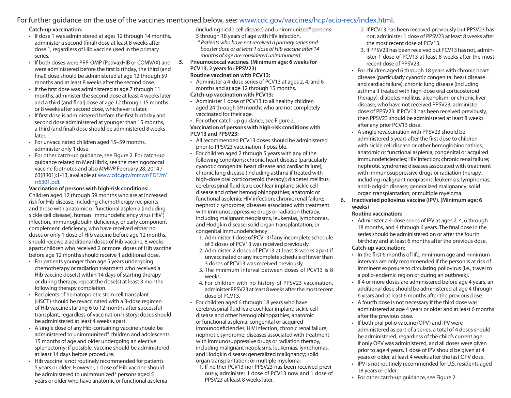### For further guidance on the use of the vaccines mentioned below, see: www.cdc.gov/vaccines/hcp/acip-recs/index.html.

### **Catch-up vaccination:**

- If dose 1 was administered at ages 12 through 14 months, administer a second (final) dose at least 8 weeks after dose 1, regardless of Hib vaccine used in the primary series.
- If both doses were PRP-OMP (PedvaxHIB or COMVAX) and were administered before the first birthday, the third (and final) dose should be administered at age 12 through 59 months and at least 8 weeks after the second dose.
- If the first dose was administered at age 7 through 11 months, administer the second dose at least 4 weeks later and a third (and final) dose at age 12 through 15 months or 8 weeks after second dose, whichever is later.
- If first dose is administered before the first birthday and second dose administered at younger than 15 months, a third (and final) dose should be administered 8 weeks later.
- For unvaccinated children aged 15–59 months, administer only 1 dose.
- For other catch-up guidance, see Figure 2. For catch-up guidance related to MenHibrix, see the meningococcal vaccine footnotes and also *MMWR* February 28, 2014 / 63(RR01):1-13, available at www.cdc.gov/mmwr/PDF/rr/ rr6301.pdf.

### **Vaccination of persons with high-risk conditions:**

Children aged 12 through 59 months who are at increased risk for Hib disease, including chemotherapy recipients and those with anatomic or functional asplenia (including sickle cell disease), human immunodeficiency virus (HIV ) infection, immunoglobulin deficiency, or early component complement deficiency, who have received either no doses or only 1 dose of Hib vaccine before age 12 months, should receive 2 additional doses of Hib vaccine, 8 weeks apart; children who received 2 or more doses of Hib vaccine before age 12 months should receive 1 additional dose.

- For patients younger than age 5 years undergoing chemotherapy or radiation treatment who received a Hib vaccine dose(s) within 14 days of starting therapy or during therapy, repeat the dose(s) at least 3 months following therapy completion.
- Recipients of hematopoietic stem cell transplant (HSCT) should be revaccinated with a 3-dose regimen of Hib vaccine starting 6 to 12 months after successful transplant, regardless of vaccination history; doses should be administered at least 4 weeks apart.
- A single dose of any Hib-containing vaccine should be administered to unimmunized\* children and adolescents 15 months of age and older undergoing an elective splenectomy; if possible, vaccine should be administered at least 14 days before procedure.
- Hib vaccine is not routinely recommended for patients 5 years or older. However, 1 dose of Hib vaccine should be administered to unimmunized\* persons aged 5 years or older who have anatomic or functional asplenia

(including sickle cell disease) and unimmunized\* persons

- 5 through 18 years of age with HIV infection.
- *\* Patients who have not received a primary series and booster dose or at least 1 dose of Hib vaccine after 14 months of age are considered unimmunized.*
- **5. Pneumococcal vaccines. (Minimum age: 6 weeks for PCV13, 2 years for PPSV23)**

### **Routine vaccination with PCV13:**

• Administer a 4-dose series of PCV13 at ages 2, 4, and 6 months and at age 12 through 15 months.

### **Catch-up vaccination with PCV13:**

- Administer 1 dose of PCV13 to all healthy children aged 24 through 59 months who are not completely vaccinated for their age.
- For other catch-up guidance, see Figure 2. **Vaccination of persons with high-risk conditions with PCV13 and PPSV23:**
- All recommended PCV13 doses should be administered prior to PPSV23 vaccination if possible.
- For children aged 2 through 5 years with any of the following conditions: chronic heart disease (particularly cyanotic congenital heart disease and cardiac failure); chronic lung disease (including asthma if treated with high-dose oral corticosteroid therapy); diabetes mellitus; cerebrospinal fluid leak; cochlear implant; sickle cell disease and other hemoglobinopathies; anatomic or functional asplenia; HIV infection; chronic renal failure; nephrotic syndrome; diseases associated with treatment with immunosuppressive drugs or radiation therapy, including malignant neoplasms, leukemias, lymphomas, and Hodgkin disease; solid organ transplantation; or congenital immunodeficiency:
	- 1. Administer 1 dose of PCV13 if any incomplete schedule of 3 doses of PCV13 was received previously.
	- 2. Administer 2 doses of PCV13 at least 8 weeks apart if unvaccinated or any incomplete schedule of fewer than 3 doses of PCV13 was received previously.
	- 3. The minimum interval between doses of PCV13 is 8 weeks.
	- 4. For children with no history of PPSV23 vaccination, administer PPSV23 at least 8 weeks after the most recent dose of PCV13.
- For children aged 6 through 18 years who have cerebrospinal fluid leak; cochlear implant; sickle cell disease and other hemoglobinopathies; anatomic or functional asplenia; congenital or acquired immunodeficiencies; HIV infection; chronic renal failure; nephrotic syndrome; diseases associated with treatment with immunosuppressive drugs or radiation therapy, including malignant neoplasms, leukemias, lymphomas, and Hodgkin disease; generalized malignancy; solid organ transplantation; or multiple myeloma:
	- 1. If neither PCV13 nor PPSV23 has been received previously, administer 1 dose of PCV13 now and 1 dose of PPSV23 at least 8 weeks later.
- 2. If PCV13 has been received previously but PPSV23 has not, administer 1 dose of PPSV23 at least 8 weeks after the most recent dose of PCV13.
- 3. If PPSV23 has been received but PCV13 has not, administer 1 dose of PCV13 at least 8 weeks after the most recent dose of PPSV23.
- For children aged 6 through 18 years with chronic heart disease (particularly cyanotic congenital heart disease and cardiac failure), chronic lung disease (including asthma if treated with high-dose oral corticosteroid therapy), diabetes mellitus, alcoholism, or chronic liver disease, who have not received PPSV23, administer 1 dose of PPSV23. If PCV13 has been received previously, then PPSV23 should be administered at least 8 weeks after any prior PCV13 dose.
- A single revaccination with PPSV23 should be administered 5 years after the first dose to children with sickle cell disease or other hemoglobinopathies; anatomic or functional asplenia; congenital or acquired immunodeficiencies; HIV infection; chronic renal failure; nephrotic syndrome; diseases associated with treatment with immunosuppressive drugs or radiation therapy, including malignant neoplasms, leukemias, lymphomas, and Hodgkin disease; generalized malignancy; solid organ transplantation; or multiple myeloma.
- **6. Inactivated poliovirus vaccine (IPV). (Minimum age: 6 weeks)**

### **Routine vaccination:**

• Administer a 4-dose series of IPV at ages 2, 4, 6 through 18 months, and 4 through 6 years. The final dose in the series should be administered on or after the fourth birthday and at least 6 months after the previous dose.

### **Catch-up vaccination:**

- In the first 6 months of life, minimum age and minimum intervals are only recommended if the person is at risk of imminent exposure to circulating poliovirus (i.e., travel to a polio-endemic region or during an outbreak).
- If 4 or more doses are administered before age 4 years, an additional dose should be administered at age 4 through 6 years and at least 6 months after the previous dose.
- A fourth dose is not necessary if the third dose was administered at age 4 years or older and at least 6 months after the previous dose.
- If both oral polio vaccine (OPV) and IPV were administered as part of a series, a total of 4 doses should be administered, regardless of the child's current age. If only OPV was administered, and all doses were given prior to age 4 years, 1 dose of IPV should be given at 4 years or older, at least 4 weeks after the last OPV dose.
- IPV is not routinely recommended for U.S. residents aged 18 years or older.
- For other catch-up guidance, see Figure 2.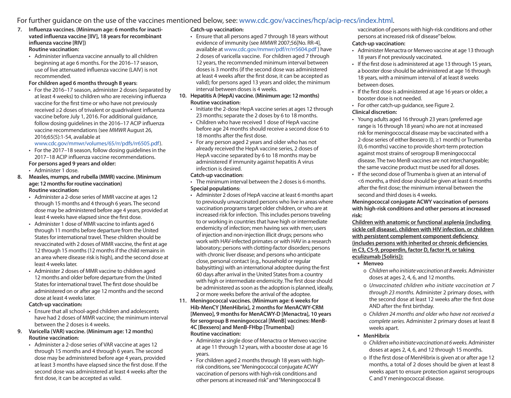### For further guidance on the use of the vaccines mentioned below, see: www.cdc.gov/vaccines/hcp/acip-recs/index.html.

- **7. Influenza vaccines. (Minimum age: 6 months for inactivated influenza vaccine [IIV], 18 years for recombinant influenza vaccine [RIV]) Routine vaccination:**
	- Administer influenza vaccine annually to all children beginning at age 6 months. For the 2016–17 season, use of live attenuated influenza vaccine (LAIV) is not recommended.

#### **For children aged 6 months through 8 years:**

• For the 2016–17 season, administer 2 doses (separated by at least 4 weeks) to children who are receiving influenza vaccine for the first time or who have not previously received ≥2 doses of trivalent or quadrivalent influenza vaccine before July 1, 2016. For additional guidance, follow dosing guidelines in the 2016–17 ACIP influenza vaccine recommendations (see *MMWR* August 26, 2016;65(5):1-54, available at

www.cdc.gov/mmwr/volumes/65/rr/pdfs/rr6505.pdf).

• For the 2017–18 season, follow dosing guidelines in the 2017–18 ACIP influenza vaccine recommendations.

### **For persons aged 9 years and older:**

- Administer 1 dose.
- **8. Measles, mumps, and rubella (MMR) vaccine. (Minimum age: 12 months for routine vaccination) Routine vaccination:**
	- Administer a 2-dose series of MMR vaccine at ages 12 through 15 months and 4 through 6 years. The second dose may be administered before age 4 years, provided at least 4 weeks have elapsed since the first dose.
	- Administer 1 dose of MMR vaccine to infants aged 6 through 11 months before departure from the United States for international travel. These children should be revaccinated with 2 doses of MMR vaccine, the first at age 12 through 15 months (12 months if the child remains in an area where disease risk is high), and the second dose at least 4 weeks later.
	- Administer 2 doses of MMR vaccine to children aged 12 months and older before departure from the United States for international travel. The first dose should be administered on or after age 12 months and the second dose at least 4 weeks later.

#### **Catch-up vaccination:**

- Ensure that all school-aged children and adolescents have had 2 doses of MMR vaccine; the minimum interval between the 2 doses is 4 weeks.
- **9. Varicella (VAR) vaccine. (Minimum age: 12 months) Routine vaccination:**
	- Administer a 2-dose series of VAR vaccine at ages 12 through 15 months and 4 through 6 years. The second dose may be administered before age 4 years, provided at least 3 months have elapsed since the first dose. If the second dose was administered at least 4 weeks after the first dose, it can be accepted as valid.

#### **Catch-up vaccination:**

• Ensure that all persons aged 7 through 18 years without evidence of immunity (see *MMWR* 2007;56[No. RR-4], available at www.cdc.gov/mmwr/pdf/rr/rr5604.pdf ) have 2 doses of varicella vaccine. For children aged 7 through 12 years, the recommended minimum interval between doses is 3 months (if the second dose was administered at least 4 weeks after the first dose, it can be accepted as valid); for persons aged 13 years and older, the minimum interval between doses is 4 weeks.

### **10. Hepatitis A (HepA) vaccine. (Minimum age: 12 months) Routine vaccination:**

- Initiate the 2-dose HepA vaccine series at ages 12 through 23 months; separate the 2 doses by 6 to 18 months.
- Children who have received 1 dose of HepA vaccine before age 24 months should receive a second dose 6 to 18 months after the first dose.
- For any person aged 2 years and older who has not already received the HepA vaccine series, 2 doses of HepA vaccine separated by 6 to 18 months may be administered if immunity against hepatitis A virus infection is desired.

#### **Catch-up vaccination:**

- The minimum interval between the 2 doses is 6 months. **Special populations:**
- Administer 2 doses of HepA vaccine at least 6 months apart to previously unvaccinated persons who live in areas where vaccination programs target older children, or who are at increased risk for infection. This includes persons traveling to or working in countries that have high or intermediate endemicity of infection; men having sex with men; users of injection and non-injection illicit drugs; persons who work with HAV-infected primates or with HAV in a research laboratory; persons with clotting-factor disorders; persons with chronic liver disease; and persons who anticipate close, personal contact (e.g., household or regular babysitting) with an international adoptee during the first 60 days after arrival in the United States from a country with high or intermediate endemicity. The first dose should be administered as soon as the adoption is planned, ideally, 2 or more weeks before the arrival of the adoptee.
- **11. Meningococcal vaccines. (Minimum age: 6 weeks for Hib-MenCY [MenHibrix], 2 months for MenACWY-CRM [Menveo], 9 months for MenACWY-D [Menactra], 10 years for serogroup B meningococcal [MenB] vaccines: MenB-4C [Bexsero] and MenB-FHbp [Trumenba]) Routine vaccination:**
	- Administer a single dose of Menactra or Menveo vaccine at age 11 through 12 years, with a booster dose at age 16 years.
	- For children aged 2 months through 18 years with highrisk conditions, see "Meningococcal conjugate ACWY vaccination of persons with high-risk conditions and other persons at increased risk" and "Meningococcal B

vaccination of persons with high-risk conditions and other persons at increased risk of disease" below.

#### **Catch-up vaccination:**

- Administer Menactra or Menveo vaccine at age 13 through 18 years if not previously vaccinated.
- If the first dose is administered at age 13 through 15 years, a booster dose should be administered at age 16 through 18 years, with a minimum interval of at least 8 weeks between doses.
- If the first dose is administered at age 16 years or older, a booster dose is not needed.
- For other catch-up guidance, see Figure 2. **Clinical discretion:**
- Young adults aged 16 through 23 years (preferred age range is 16 through 18 years) who are not at increased risk for meningococcal disease may be vaccinated with a 2-dose series of either Bexsero (0, ≥1 month) or Trumenba (0, 6 months) vaccine to provide short-term protection against most strains of serogroup B meningococcal disease. The two MenB vaccines are not interchangeable; the same vaccine product must be used for all doses.
- If the second dose of Trumenba is given at an interval of <6 months, a third dose should be given at least 6 months after the first dose; the minimum interval between the second and third doses is 4 weeks.

**Meningococcal conjugate ACWY vaccination of persons with high-risk conditions and other persons at increased risk:** 

**Children with anatomic or functional asplenia (including sickle cell disease), children with HIV infection, or children with persistent complement component deficiency (includes persons with inherited or chronic deficiencies in C3, C5-9, properdin, factor D, factor H, or taking eculizumab [Soliris]):**

- **Menveo** 
	- ɱ *Children who initiate vaccination at 8 weeks.* Administer doses at ages 2, 4, 6, and 12 months.
- ɱ *Unvaccinated children who initiate vaccination at 7 through 23 months.* Administer 2 primary doses, with the second dose at least 12 weeks after the first dose AND after the first birthday.
- ɱ *Children 24 months and older who have not received a complete series.* Administer 2 primary doses at least 8 weeks apart.

### ▪ **MenHibrix**

- ɱ *Children who initiate vaccination at 6 weeks.* Administer doses at ages 2, 4, 6, and 12 through 15 months.
- ɱ If the first dose of MenHibrix is given at or after age 12 months, a total of 2 doses should be given at least 8 weeks apart to ensure protection against serogroups C and Y meningococcal disease.